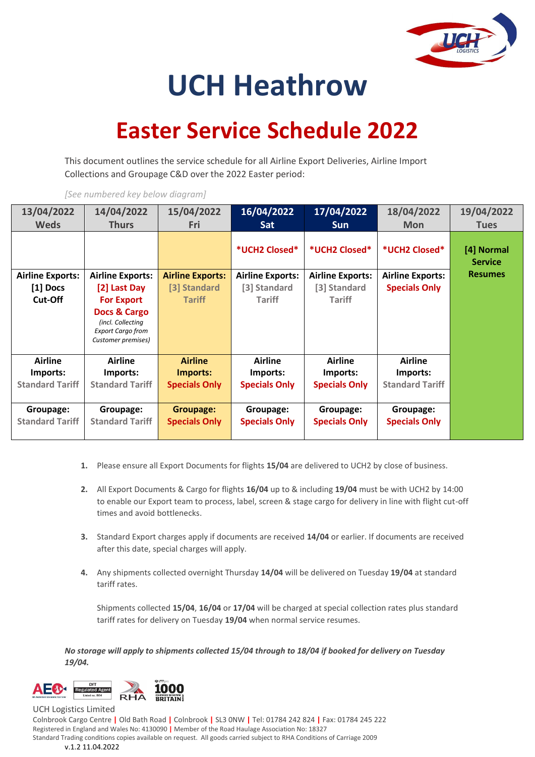

## **UCH Heathrow**

## **Easter Service Schedule 2022**

This document outlines the service schedule for all Airline Export Deliveries, Airline Import Collections and Groupage C&D over the 2022 Easter period:

| 13/04/2022<br><b>Weds</b> | 14/04/2022<br><b>Thurs</b>                                                          | 15/04/2022<br>Fri       | 16/04/2022<br>Sat       | 17/04/2022<br><b>Sun</b> | 18/04/2022<br><b>Mon</b> | 19/04/2022<br><b>Tues</b>    |
|---------------------------|-------------------------------------------------------------------------------------|-------------------------|-------------------------|--------------------------|--------------------------|------------------------------|
|                           |                                                                                     |                         | *UCH2 Closed*           | *UCH2 Closed*            | *UCH2 Closed*            | [4] Normal<br><b>Service</b> |
| <b>Airline Exports:</b>   | <b>Airline Exports:</b>                                                             | <b>Airline Exports:</b> | <b>Airline Exports:</b> | <b>Airline Exports:</b>  | <b>Airline Exports:</b>  | <b>Resumes</b>               |
| [1] Docs                  | [2] Last Day                                                                        | [3] Standard            | [3] Standard            | [3] Standard             | <b>Specials Only</b>     |                              |
| Cut-Off                   | <b>For Export</b>                                                                   | Tariff                  | <b>Tariff</b>           | <b>Tariff</b>            |                          |                              |
|                           | Docs & Cargo<br>(incl. Collecting<br><b>Export Cargo from</b><br>Customer premises) |                         |                         |                          |                          |                              |
| <b>Airline</b>            | Airline                                                                             | <b>Airline</b>          | <b>Airline</b>          | Airline                  | <b>Airline</b>           |                              |
| Imports:                  | Imports:                                                                            | Imports:                | Imports:                | Imports:                 | Imports:                 |                              |
| <b>Standard Tariff</b>    | <b>Standard Tariff</b>                                                              | <b>Specials Only</b>    | <b>Specials Only</b>    | <b>Specials Only</b>     | <b>Standard Tariff</b>   |                              |
| Groupage:                 | Groupage:                                                                           | <b>Groupage:</b>        | Groupage:               | Groupage:                | Groupage:                |                              |
| <b>Standard Tariff</b>    | <b>Standard Tariff</b>                                                              | <b>Specials Only</b>    | <b>Specials Only</b>    | <b>Specials Only</b>     | <b>Specials Only</b>     |                              |

*[See numbered key below diagram]*

- **1.** Please ensure all Export Documents for flights **15/04** are delivered to UCH2 by close of business.
- **2.** All Export Documents & Cargo for flights **16/04** up to & including **19/04** must be with UCH2 by 14:00 to enable our Export team to process, label, screen & stage cargo for delivery in line with flight cut-off times and avoid bottlenecks.
- **3.** Standard Export charges apply if documents are received **14/04** or earlier. If documents are received after this date, special charges will apply.
- **4.** Any shipments collected overnight Thursday **14/04** will be delivered on Tuesday **19/04** at standard tariff rates.

Shipments collected **15/04**, **16/04** or **17/04** will be charged at special collection rates plus standard tariff rates for delivery on Tuesday **19/04** when normal service resumes.

*No storage will apply to shipments collected 15/04 through to 18/04 if booked for delivery on Tuesday 19/04.* 



Colnbrook Cargo Centre **|** Old Bath Road **|** Colnbrook **|** SL3 0NW **|** Tel: 01784 242 824 **|** Fax: 01784 245 222 Registered in England and Wales No: 4130090 **|** Member of the Road Haulage Association No: 18327 Standard Trading conditions copies available on request. All goods carried subject to RHA Conditions of Carriage 2009